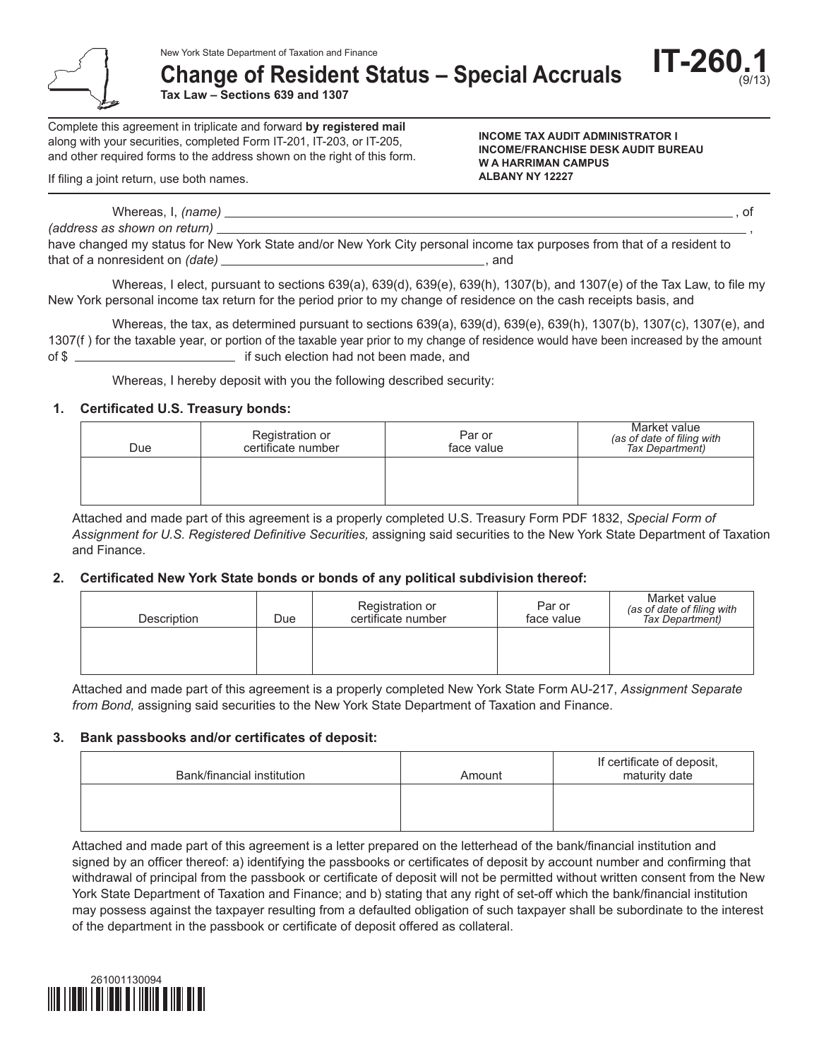**Change of Resident Status – Special Accruals**

**Tax Law – Sections 639 and 1307**

Complete this agreement in triplicate and forward **by registered mail** along with your securities, completed Form IT-201, IT-203, or IT-205, and other required forms to the address shown on the right of this form.

If filing a joint return, use both names.

**INCOME TAX AUDIT ADMINISTRATOR I INCOME/FRANCHISE DESK AUDIT BUREAU W A HARRIMAN CAMPUS ALBANY NY 12227**

**IT-260.1**

(9/13)

Whereas, I, *(name)* , of *(address as shown on return)*  $\equiv$ 

have changed my status for New York State and/or New York City personal income tax purposes from that of a resident to that of a nonresident on *(date)* , and

Whereas, I elect, pursuant to sections 639(a), 639(d), 639(e), 639(h), 1307(b), and 1307(e) of the Tax Law, to file my New York personal income tax return for the period prior to my change of residence on the cash receipts basis, and

Whereas, the tax, as determined pursuant to sections 639(a), 639(d), 639(e), 639(h), 1307(b), 1307(c), 1307(e), and 1307(f) for the taxable year, or portion of the taxable year prior to my change of residence would have been increased by the amount of \$

Whereas, I hereby deposit with you the following described security:

### **1. Certificated U.S. Treasury bonds:**

| Due | Registration or<br>certificate number | Par or<br>face value | Market value<br>(as of date of filing with<br>Tax Department) |
|-----|---------------------------------------|----------------------|---------------------------------------------------------------|
|     |                                       |                      |                                                               |

Attached and made part of this agreement is a properly completed U.S. Treasury Form PDF 1832, *Special Form of Assignment for U.S. Registered Definitive Securities,* assigning said securities to the New York State Department of Taxation and Finance.

### **2. Certificated New York State bonds or bonds of any political subdivision thereof:**

| Description | Due | Registration or<br>certificate number | Par or<br>face value | Market value<br>(as of date of filing with<br>Tax Department) |
|-------------|-----|---------------------------------------|----------------------|---------------------------------------------------------------|
|             |     |                                       |                      |                                                               |

Attached and made part of this agreement is a properly completed New York State Form AU-217, *Assignment Separate from Bond,* assigning said securities to the New York State Department of Taxation and Finance.

### **3. Bank passbooks and/or certificates of deposit:**

| Bank/financial institution | Amount | If certificate of deposit,<br>maturity date |
|----------------------------|--------|---------------------------------------------|
|                            |        |                                             |
|                            |        |                                             |

Attached and made part of this agreement is a letter prepared on the letterhead of the bank/financial institution and signed by an officer thereof: a) identifying the passbooks or certificates of deposit by account number and confirming that withdrawal of principal from the passbook or certificate of deposit will not be permitted without written consent from the New York State Department of Taxation and Finance; and b) stating that any right of set-off which the bank/financial institution may possess against the taxpayer resulting from a defaulted obligation of such taxpayer shall be subordinate to the interest of the department in the passbook or certificate of deposit offered as collateral.